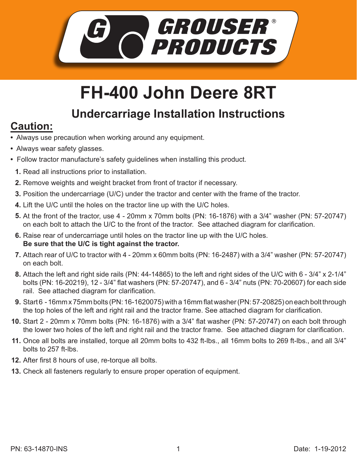

## **FH-400 John Deere 8RT**

## **Undercarriage Installation Instructions**

## **Caution:**

- Always use precaution when working around any equipment.
- Always wear safety glasses.
- Follow tractor manufacture's safety guidelines when installing this product.
	- **1.** Read all instructions prior to installation.
- **2.** Remove weights and weight bracket from front of tractor if necessary.
- **3.** Position the undercarriage (U/C) under the tractor and center with the frame of the tractor.
- Lift the U/C until the holes on the tractor line up with the U/C holes. **4.**
- **5.** At the front of the tractor, use 4 20mm x 70mm bolts (PN: 16-1876) with a 3/4" washer (PN: 57-20747) on each bolt to attach the U/C to the front of the tractor. See attached diagram for clarification.
- **6.** Raise rear of undercarriage until holes on the tractor line up with the U/C holes. **Be sure that the U/C is tight against the tractor.**
- 7. Attach rear of U/C to tractor with 4 20mm x 60mm bolts (PN: 16-2487) with a 3/4" washer (PN: 57-20747) on each bolt.
- Attach the left and right side rails (PN: 44-14865) to the left and right sides of the U/C with 6 3/4" x 2-1/4" **8.** bolts (PN: 16-20219), 12 - 3/4" flat washers (PN: 57-20747), and 6 - 3/4" nuts (PN: 70-20607) for each side rail. See attached diagram for clarification.
- Start 6 16mm x 75mm bolts (PN: 16-1620075) with a 16mm flat washer (PN: 57-20825) on each bolt through **9.** the top holes of the left and right rail and the tractor frame. See attached diagram for clarification.
- **10.** Start 2 20mm x 70mm bolts (PN: 16-1876) with a 3/4" flat washer (PN: 57-20747) on each bolt through the lower two holes of the left and right rail and the tractor frame. See attached diagram for clarification.
- **11.** Once all bolts are installed, torque all 20mm bolts to 432 ft-lbs., all 16mm bolts to 269 ft-lbs., and all 3/4" bolts to 257 ft-lbs.
- **12.** After first 8 hours of use, re-torque all bolts.
- **13.** Check all fasteners regularly to ensure proper operation of equipment.